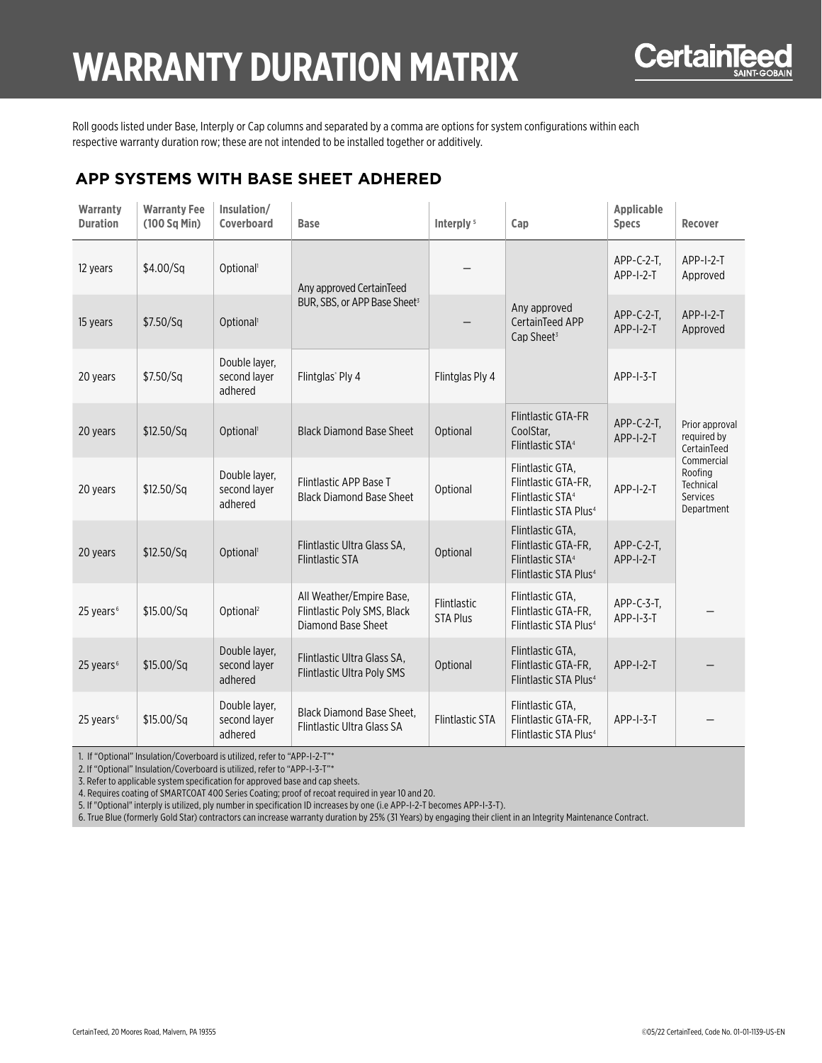## **WARRANTY DURATION MATRIX**



Roll goods listed under Base, Interply or Cap columns and separated by a comma are options for system configurations within each respective warranty duration row; these are not intended to be installed together or additively.

## **APP SYSTEMS WITH BASE SHEET ADHERED**

| <b>Warranty</b><br><b>Duration</b> | <b>Warranty Fee</b><br>(100 Sq Min) | Insulation/<br>Coverboard                | <b>Base</b>                                                                   | Interply <sup>5</sup>          | Cap                                                                                                          | <b>Applicable</b><br><b>Specs</b> | <b>Recover</b>                                               |
|------------------------------------|-------------------------------------|------------------------------------------|-------------------------------------------------------------------------------|--------------------------------|--------------------------------------------------------------------------------------------------------------|-----------------------------------|--------------------------------------------------------------|
| 12 years                           | \$4.00/Sq                           | Optional <sup>1</sup>                    | Any approved CertainTeed<br>BUR, SBS, or APP Base Sheet <sup>3</sup>          |                                | Any approved<br>CertainTeed APP<br>Cap Sheet <sup>3</sup>                                                    | APP-C-2-T,<br>$APP-I-2-T$         | $APP-I-2-T$<br>Approved                                      |
| 15 years                           | \$7.50/Sq                           | Optional <sup>1</sup>                    |                                                                               |                                |                                                                                                              | APP-C-2-T,<br>APP-I-2-T           | $APP-I-2-T$<br>Approved                                      |
| 20 years                           | \$7.50/Sq                           | Double layer,<br>second layer<br>adhered | Flintglas' Ply 4                                                              | Flintglas Ply 4                |                                                                                                              | $APP-I-3-T$                       |                                                              |
| 20 years                           | \$12.50/Sq                          | Optional <sup>1</sup>                    | <b>Black Diamond Base Sheet</b>                                               | Optional                       | <b>Flintlastic GTA-FR</b><br>CoolStar,<br>Flintlastic STA <sup>4</sup>                                       | APP-C-2-T,<br>APP-I-2-T           | Prior approval<br>required by<br>CertainTeed                 |
| 20 years                           | \$12.50/Sq                          | Double layer,<br>second layer<br>adhered | Flintlastic APP Base T<br><b>Black Diamond Base Sheet</b>                     | Optional                       | Flintlastic GTA,<br>Flintlastic GTA-FR,<br>Flintlastic STA <sup>4</sup><br>Flintlastic STA Plus <sup>4</sup> | APP-I-2-T                         | Commercial<br>Roofing<br>Technical<br>Services<br>Department |
| 20 years                           | \$12.50/Sq                          | Optional <sup>1</sup>                    | Flintlastic Ultra Glass SA,<br><b>Flintlastic STA</b>                         | Optional                       | Flintlastic GTA,<br>Flintlastic GTA-FR,<br>Flintlastic STA <sup>4</sup><br>Flintlastic STA Plus <sup>4</sup> | APP-C-2-T,<br>$APP-I-2-T$         |                                                              |
| 25 years <sup>6</sup>              | \$15.00/Sq                          | Optional <sup>2</sup>                    | All Weather/Empire Base,<br>Flintlastic Poly SMS, Black<br>Diamond Base Sheet | Flintlastic<br><b>STA Plus</b> | Flintlastic GTA,<br>Flintlastic GTA-FR,<br>Flintlastic STA Plus <sup>4</sup>                                 | APP-C-3-T,<br>APP-I-3-T           |                                                              |
| 25 years <sup>6</sup>              | \$15.00/Sq                          | Double layer,<br>second layer<br>adhered | Flintlastic Ultra Glass SA,<br><b>Flintlastic Ultra Poly SMS</b>              | Optional                       | Flintlastic GTA,<br>Flintlastic GTA-FR,<br>Flintlastic STA Plus <sup>4</sup>                                 | $APP-I-2-T$                       |                                                              |
| 25 years <sup>6</sup>              | \$15.00/Sq                          | Double layer,<br>second layer<br>adhered | <b>Black Diamond Base Sheet,</b><br>Flintlastic Ultra Glass SA                | <b>Flintlastic STA</b>         | Flintlastic GTA,<br>Flintlastic GTA-FR,<br><b>Flintlastic STA Plus<sup>4</sup></b>                           | APP-1-3-T                         |                                                              |

1. If "Optional" Insulation/Coverboard is utilized, refer to "APP-I-2-T"\*

2. If "Optional" Insulation/Coverboard is utilized, refer to "APP-I-3-T"\*

3. Refer to applicable system specification for approved base and cap sheets.

4. Requires coating of SMARTCOAT 400 Series Coating; proof of recoat required in year 10 and 20.

5. If "Optional" interply is utilized, ply number in specification ID increases by one (i.e APP-I-2-T becomes APP-I-3-T).

6. True Blue (formerly Gold Star) contractors can increase warranty duration by 25% (31 Years) by engaging their client in an Integrity Maintenance Contract.